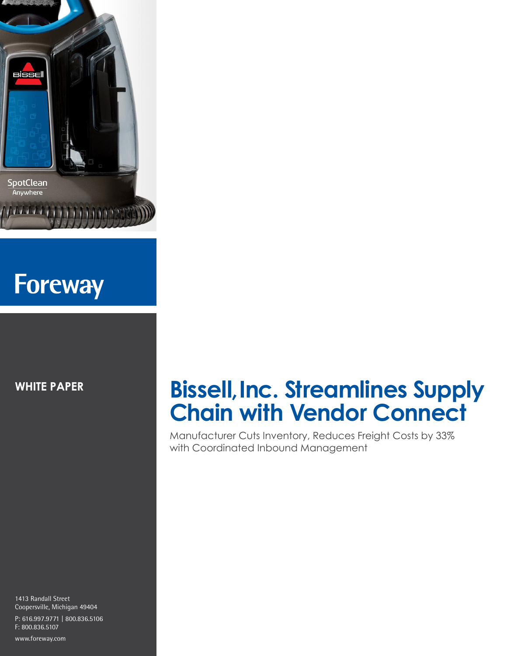

# **Foreway**

**WHITE PAPER**

#### 1413 Randall Street Coopersville, Michigan 49404 P: 616.997.9771 | 800.836.5106 F: 800.836.5107

www.foreway.com

# **Bissell, Inc. Streamlines Supply Chain with Vendor Connect**

Manufacturer Cuts Inventory, Reduces Freight Costs by 33% with Coordinated Inbound Management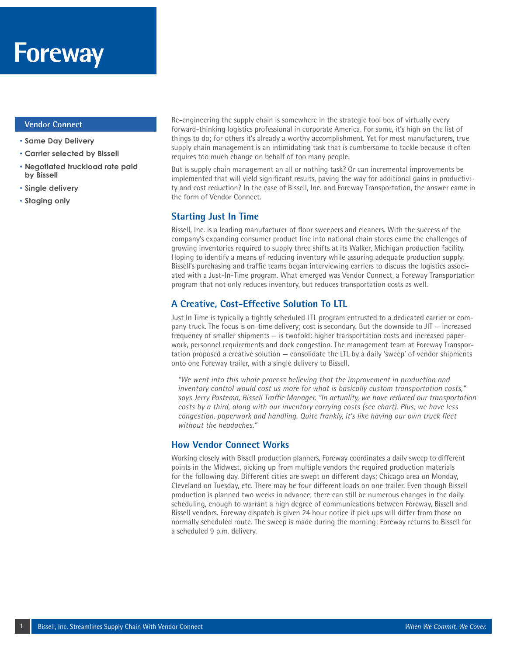#### **Vendor Connect**

- **Same Day Delivery**
- **Carrier selected by Bissell**
- **Negotiated truckload rate paid by Bissell**
- **Single delivery**
- **Staging only**

Re-engineering the supply chain is somewhere in the strategic tool box of virtually every forward-thinking logistics professional in corporate America. For some, it's high on the list of things to do; for others it's already a worthy accomplishment. Yet for most manufacturers, true supply chain management is an intimidating task that is cumbersome to tackle because it often requires too much change on behalf of too many people.

But is supply chain management an all or nothing task? Or can incremental improvements be implemented that will yield significant results, paving the way for additional gains in productivity and cost reduction? In the case of Bissell, Inc. and Foreway Transportation, the answer came in the form of Vendor Connect.

#### **Starting Just In Time**

Bissell, Inc. is a leading manufacturer of floor sweepers and cleaners. With the success of the company's expanding consumer product line into national chain stores came the challenges of growing inventories required to supply three shifts at its Walker, Michigan production facility. Hoping to identify a means of reducing inventory while assuring adequate production supply, Bissell's purchasing and traffic teams began interviewing carriers to discuss the logistics associated with a Just-In-Time program. What emerged was Vendor Connect, a Foreway Transportation program that not only reduces inventory, but reduces transportation costs as well.

# **A Creative, Cost-Effective Solution To LTL**

Just In Time is typically a tightly scheduled LTL program entrusted to a dedicated carrier or company truck. The focus is on-time delivery; cost is secondary. But the downside to JIT — increased frequency of smaller shipments — is twofold: higher transportation costs and increased paperwork, personnel requirements and dock congestion. The management team at Foreway Transportation proposed a creative solution — consolidate the LTL by a daily 'sweep' of vendor shipments onto one Foreway trailer, with a single delivery to Bissell.

*"We went into this whole process believing that the improvement in production and inventory control would cost us more for what is basically custom transportation costs," says Jerry Postema, Bissell Traffic Manager. "In actuality, we have reduced our transportation costs by a third, along with our inventory carrying costs (see chart). Plus, we have less congestion, paperwork and handling. Quite frankly, it's like having our own truck fleet without the headaches."* 

#### **How Vendor Connect Works**

Working closely with Bissell production planners, Foreway coordinates a daily sweep to different points in the Midwest, picking up from multiple vendors the required production materials for the following day. Different cities are swept on different days; Chicago area on Monday, Cleveland on Tuesday, etc. There may be four different loads on one trailer. Even though Bissell production is planned two weeks in advance, there can still be numerous changes in the daily scheduling, enough to warrant a high degree of communications between Foreway, Bissell and Bissell vendors. Foreway dispatch is given 24 hour notice if pick ups will differ from those on normally scheduled route. The sweep is made during the morning; Foreway returns to Bissell for a scheduled 9 p.m. delivery.